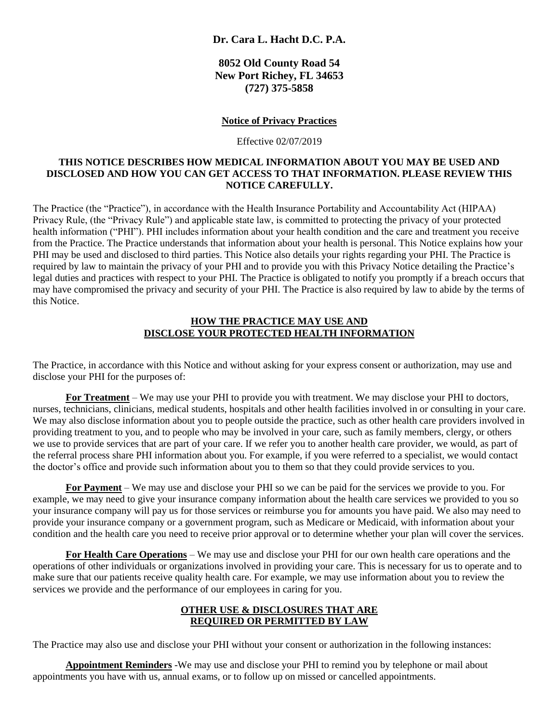## **Dr. Cara L. Hacht D.C. P.A.**

**8052 Old County Road 54 New Port Richey, FL 34653 (727) 375-5858**

#### **Notice of Privacy Practices**

Effective 02/07/2019

### **THIS NOTICE DESCRIBES HOW MEDICAL INFORMATION ABOUT YOU MAY BE USED AND DISCLOSED AND HOW YOU CAN GET ACCESS TO THAT INFORMATION. PLEASE REVIEW THIS NOTICE CAREFULLY.**

The Practice (the "Practice"), in accordance with the Health Insurance Portability and Accountability Act (HIPAA) Privacy Rule, (the "Privacy Rule") and applicable state law, is committed to protecting the privacy of your protected health information ("PHI"). PHI includes information about your health condition and the care and treatment you receive from the Practice. The Practice understands that information about your health is personal. This Notice explains how your PHI may be used and disclosed to third parties. This Notice also details your rights regarding your PHI. The Practice is required by law to maintain the privacy of your PHI and to provide you with this Privacy Notice detailing the Practice's legal duties and practices with respect to your PHI. The Practice is obligated to notify you promptly if a breach occurs that may have compromised the privacy and security of your PHI. The Practice is also required by law to abide by the terms of this Notice.

## **HOW THE PRACTICE MAY USE AND DISCLOSE YOUR PROTECTED HEALTH INFORMATION**

The Practice, in accordance with this Notice and without asking for your express consent or authorization, may use and disclose your PHI for the purposes of:

**For Treatment** – We may use your PHI to provide you with treatment. We may disclose your PHI to doctors, nurses, technicians, clinicians, medical students, hospitals and other health facilities involved in or consulting in your care. We may also disclose information about you to people outside the practice, such as other health care providers involved in providing treatment to you, and to people who may be involved in your care, such as family members, clergy, or others we use to provide services that are part of your care. If we refer you to another health care provider, we would, as part of the referral process share PHI information about you. For example, if you were referred to a specialist, we would contact the doctor's office and provide such information about you to them so that they could provide services to you.

**For Payment** – We may use and disclose your PHI so we can be paid for the services we provide to you. For example, we may need to give your insurance company information about the health care services we provided to you so your insurance company will pay us for those services or reimburse you for amounts you have paid. We also may need to provide your insurance company or a government program, such as Medicare or Medicaid, with information about your condition and the health care you need to receive prior approval or to determine whether your plan will cover the services.

**For Health Care Operations** – We may use and disclose your PHI for our own health care operations and the operations of other individuals or organizations involved in providing your care. This is necessary for us to operate and to make sure that our patients receive quality health care. For example, we may use information about you to review the services we provide and the performance of our employees in caring for you.

# **OTHER USE & DISCLOSURES THAT ARE REQUIRED OR PERMITTED BY LAW**

The Practice may also use and disclose your PHI without your consent or authorization in the following instances:

**Appointment Reminders** -We may use and disclose your PHI to remind you by telephone or mail about appointments you have with us, annual exams, or to follow up on missed or cancelled appointments.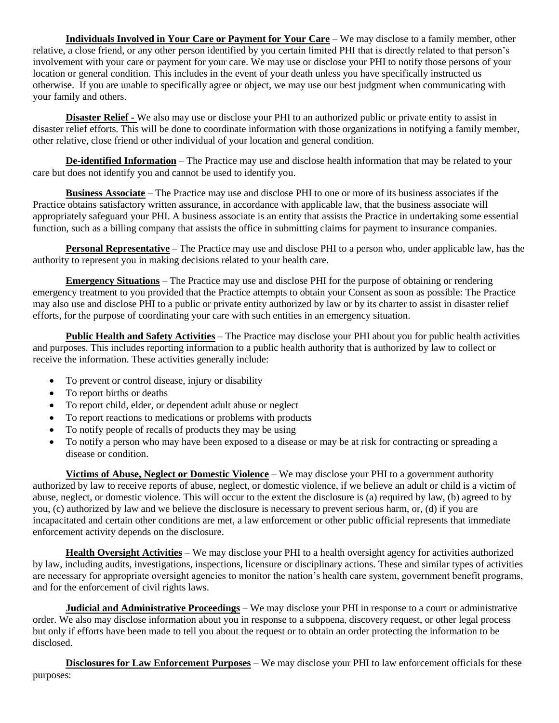**Individuals Involved in Your Care or Payment for Your Care** – We may disclose to a family member, other relative, a close friend, or any other person identified by you certain limited PHI that is directly related to that person's involvement with your care or payment for your care. We may use or disclose your PHI to notify those persons of your location or general condition. This includes in the event of your death unless you have specifically instructed us otherwise. If you are unable to specifically agree or object, we may use our best judgment when communicating with your family and others.

**Disaster Relief -** We also may use or disclose your PHI to an authorized public or private entity to assist in disaster relief efforts. This will be done to coordinate information with those organizations in notifying a family member, other relative, close friend or other individual of your location and general condition.

**De-identified Information** – The Practice may use and disclose health information that may be related to your care but does not identify you and cannot be used to identify you.

**Business Associate** – The Practice may use and disclose PHI to one or more of its business associates if the Practice obtains satisfactory written assurance, in accordance with applicable law, that the business associate will appropriately safeguard your PHI. A business associate is an entity that assists the Practice in undertaking some essential function, such as a billing company that assists the office in submitting claims for payment to insurance companies.

**Personal Representative** – The Practice may use and disclose PHI to a person who, under applicable law, has the authority to represent you in making decisions related to your health care.

**Emergency Situations** – The Practice may use and disclose PHI for the purpose of obtaining or rendering emergency treatment to you provided that the Practice attempts to obtain your Consent as soon as possible: The Practice may also use and disclose PHI to a public or private entity authorized by law or by its charter to assist in disaster relief efforts, for the purpose of coordinating your care with such entities in an emergency situation.

**Public Health and Safety Activities** – The Practice may disclose your PHI about you for public health activities and purposes. This includes reporting information to a public health authority that is authorized by law to collect or receive the information. These activities generally include:

- To prevent or control disease, injury or disability
- To report births or deaths
- To report child, elder, or dependent adult abuse or neglect
- To report reactions to medications or problems with products
- To notify people of recalls of products they may be using
- To notify a person who may have been exposed to a disease or may be at risk for contracting or spreading a disease or condition.

**Victims of Abuse, Neglect or Domestic Violence** – We may disclose your PHI to a government authority authorized by law to receive reports of abuse, neglect, or domestic violence, if we believe an adult or child is a victim of abuse, neglect, or domestic violence. This will occur to the extent the disclosure is (a) required by law, (b) agreed to by you, (c) authorized by law and we believe the disclosure is necessary to prevent serious harm, or, (d) if you are incapacitated and certain other conditions are met, a law enforcement or other public official represents that immediate enforcement activity depends on the disclosure.

**Health Oversight Activities** – We may disclose your PHI to a health oversight agency for activities authorized by law, including audits, investigations, inspections, licensure or disciplinary actions. These and similar types of activities are necessary for appropriate oversight agencies to monitor the nation's health care system, government benefit programs, and for the enforcement of civil rights laws.

**Judicial and Administrative Proceedings** – We may disclose your PHI in response to a court or administrative order. We also may disclose information about you in response to a subpoena, discovery request, or other legal process but only if efforts have been made to tell you about the request or to obtain an order protecting the information to be disclosed.

**Disclosures for Law Enforcement Purposes** – We may disclose your PHI to law enforcement officials for these purposes: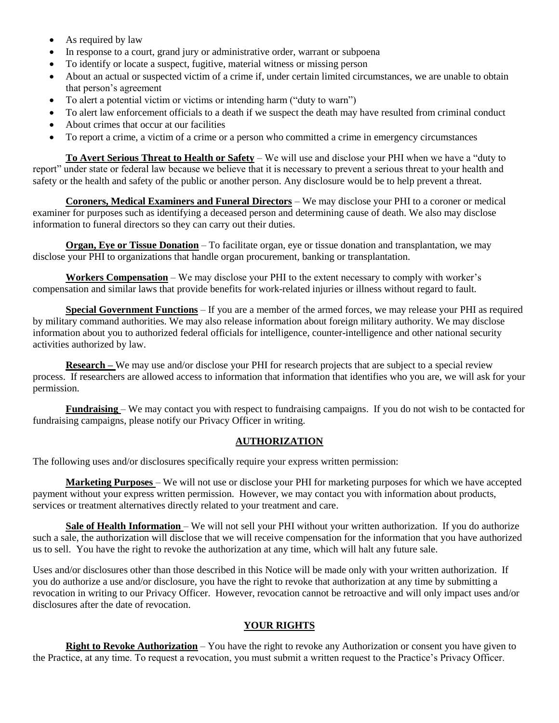- As required by law
- In response to a court, grand jury or administrative order, warrant or subpoena
- To identify or locate a suspect, fugitive, material witness or missing person
- About an actual or suspected victim of a crime if, under certain limited circumstances, we are unable to obtain that person's agreement
- To alert a potential victim or victims or intending harm ("duty to warn")
- To alert law enforcement officials to a death if we suspect the death may have resulted from criminal conduct
- About crimes that occur at our facilities
- To report a crime, a victim of a crime or a person who committed a crime in emergency circumstances

**To Avert Serious Threat to Health or Safety** – We will use and disclose your PHI when we have a "duty to report" under state or federal law because we believe that it is necessary to prevent a serious threat to your health and safety or the health and safety of the public or another person. Any disclosure would be to help prevent a threat.

**Coroners, Medical Examiners and Funeral Directors** – We may disclose your PHI to a coroner or medical examiner for purposes such as identifying a deceased person and determining cause of death. We also may disclose information to funeral directors so they can carry out their duties.

**Organ, Eye or Tissue Donation** – To facilitate organ, eye or tissue donation and transplantation, we may disclose your PHI to organizations that handle organ procurement, banking or transplantation.

**Workers Compensation** – We may disclose your PHI to the extent necessary to comply with worker's compensation and similar laws that provide benefits for work-related injuries or illness without regard to fault.

**Special Government Functions** – If you are a member of the armed forces, we may release your PHI as required by military command authorities. We may also release information about foreign military authority. We may disclose information about you to authorized federal officials for intelligence, counter-intelligence and other national security activities authorized by law.

**Research** – We may use and/or disclose your PHI for research projects that are subject to a special review process. If researchers are allowed access to information that information that identifies who you are, we will ask for your permission.

**Fundraising** – We may contact you with respect to fundraising campaigns. If you do not wish to be contacted for fundraising campaigns, please notify our Privacy Officer in writing.

### **AUTHORIZATION**

The following uses and/or disclosures specifically require your express written permission:

**Marketing Purposes** – We will not use or disclose your PHI for marketing purposes for which we have accepted payment without your express written permission. However, we may contact you with information about products, services or treatment alternatives directly related to your treatment and care.

**Sale of Health Information** – We will not sell your PHI without your written authorization. If you do authorize such a sale, the authorization will disclose that we will receive compensation for the information that you have authorized us to sell. You have the right to revoke the authorization at any time, which will halt any future sale.

Uses and/or disclosures other than those described in this Notice will be made only with your written authorization. If you do authorize a use and/or disclosure, you have the right to revoke that authorization at any time by submitting a revocation in writing to our Privacy Officer. However, revocation cannot be retroactive and will only impact uses and/or disclosures after the date of revocation.

# **YOUR RIGHTS**

**Right to Revoke Authorization** – You have the right to revoke any Authorization or consent you have given to the Practice, at any time. To request a revocation, you must submit a written request to the Practice's Privacy Officer.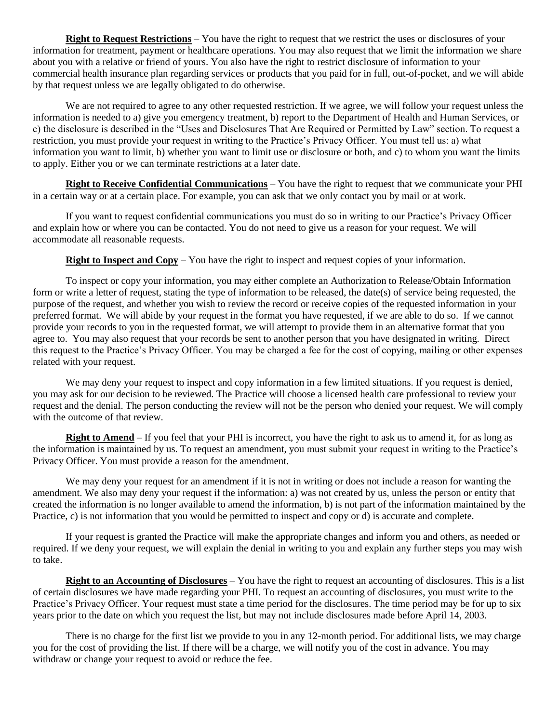**Right to Request Restrictions** – You have the right to request that we restrict the uses or disclosures of your information for treatment, payment or healthcare operations. You may also request that we limit the information we share about you with a relative or friend of yours. You also have the right to restrict disclosure of information to your commercial health insurance plan regarding services or products that you paid for in full, out-of-pocket, and we will abide by that request unless we are legally obligated to do otherwise.

We are not required to agree to any other requested restriction. If we agree, we will follow your request unless the information is needed to a) give you emergency treatment, b) report to the Department of Health and Human Services, or c) the disclosure is described in the "Uses and Disclosures That Are Required or Permitted by Law" section. To request a restriction, you must provide your request in writing to the Practice's Privacy Officer. You must tell us: a) what information you want to limit, b) whether you want to limit use or disclosure or both, and c) to whom you want the limits to apply. Either you or we can terminate restrictions at a later date.

**Right to Receive Confidential Communications** – You have the right to request that we communicate your PHI in a certain way or at a certain place. For example, you can ask that we only contact you by mail or at work.

If you want to request confidential communications you must do so in writing to our Practice's Privacy Officer and explain how or where you can be contacted. You do not need to give us a reason for your request. We will accommodate all reasonable requests.

**Right to Inspect and Copy** – You have the right to inspect and request copies of your information.

To inspect or copy your information, you may either complete an Authorization to Release/Obtain Information form or write a letter of request, stating the type of information to be released, the date(s) of service being requested, the purpose of the request, and whether you wish to review the record or receive copies of the requested information in your preferred format. We will abide by your request in the format you have requested, if we are able to do so. If we cannot provide your records to you in the requested format, we will attempt to provide them in an alternative format that you agree to. You may also request that your records be sent to another person that you have designated in writing. Direct this request to the Practice's Privacy Officer. You may be charged a fee for the cost of copying, mailing or other expenses related with your request.

We may deny your request to inspect and copy information in a few limited situations. If you request is denied, you may ask for our decision to be reviewed. The Practice will choose a licensed health care professional to review your request and the denial. The person conducting the review will not be the person who denied your request. We will comply with the outcome of that review.

**Right to Amend** – If you feel that your PHI is incorrect, you have the right to ask us to amend it, for as long as the information is maintained by us. To request an amendment, you must submit your request in writing to the Practice's Privacy Officer. You must provide a reason for the amendment.

We may deny your request for an amendment if it is not in writing or does not include a reason for wanting the amendment. We also may deny your request if the information: a) was not created by us, unless the person or entity that created the information is no longer available to amend the information, b) is not part of the information maintained by the Practice, c) is not information that you would be permitted to inspect and copy or d) is accurate and complete.

If your request is granted the Practice will make the appropriate changes and inform you and others, as needed or required. If we deny your request, we will explain the denial in writing to you and explain any further steps you may wish to take.

**Right to an Accounting of Disclosures** – You have the right to request an accounting of disclosures. This is a list of certain disclosures we have made regarding your PHI. To request an accounting of disclosures, you must write to the Practice's Privacy Officer. Your request must state a time period for the disclosures. The time period may be for up to six years prior to the date on which you request the list, but may not include disclosures made before April 14, 2003.

There is no charge for the first list we provide to you in any 12-month period. For additional lists, we may charge you for the cost of providing the list. If there will be a charge, we will notify you of the cost in advance. You may withdraw or change your request to avoid or reduce the fee.